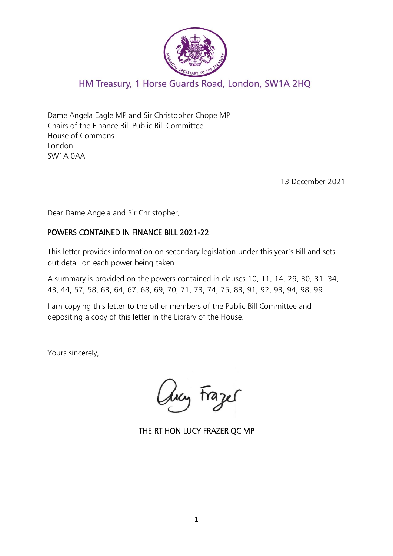

## HM Treasury, 1 Horse Guards Road, London, SW1A 2HQ

Dame Angela Eagle MP and Sir Christopher Chope MP Chairs of the Finance Bill Public Bill Committee House of Commons London SW1A 0AA

13 December 2021

Dear Dame Angela and Sir Christopher,

#### POWERS CONTAINED IN FINANCE BILL 2021-22

This letter provides information on secondary legislation under this year's Bill and sets out detail on each power being taken.

A summary is provided on the powers contained in clauses 10, 11, 14, 29, 30, 31, 34, 43, 44, 57, 58, 63, 64, 67, 68, 69, 70, 71, 73, 74, 75, 83, 91, 92, 93, 94, 98, 99.

I am copying this letter to the other members of the Public Bill Committee and depositing a copy of this letter in the Library of the House.

Yours sincerely,

hay Frazes

THE RT HON LUCY FRAZER QC MP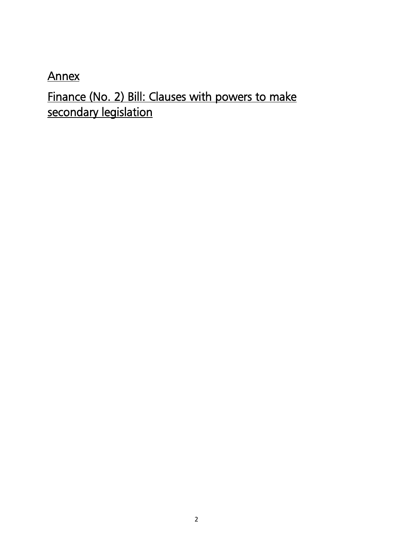Annex

Finance (No. 2) Bill: Clauses with powers to make secondary legislation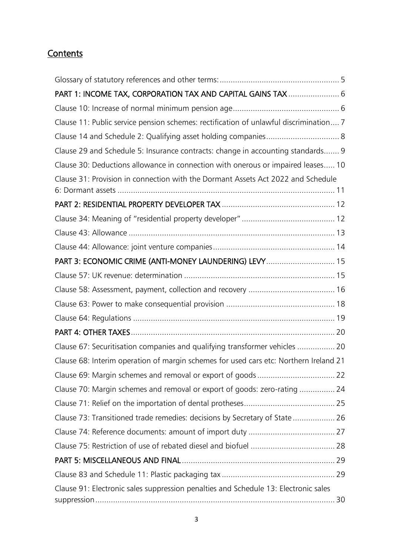# **Contents**

| PART 1: INCOME TAX, CORPORATION TAX AND CAPITAL GAINS TAX  6                          |
|---------------------------------------------------------------------------------------|
|                                                                                       |
| Clause 11: Public service pension schemes: rectification of unlawful discrimination 7 |
| Clause 14 and Schedule 2: Qualifying asset holding companies 8                        |
| Clause 29 and Schedule 5: Insurance contracts: change in accounting standards 9       |
| Clause 30: Deductions allowance in connection with onerous or impaired leases 10      |
| Clause 31: Provision in connection with the Dormant Assets Act 2022 and Schedule      |
|                                                                                       |
|                                                                                       |
|                                                                                       |
|                                                                                       |
| PART 3: ECONOMIC CRIME (ANTI-MONEY LAUNDERING) LEVY 15                                |
|                                                                                       |
|                                                                                       |
|                                                                                       |
|                                                                                       |
|                                                                                       |
| Clause 67: Securitisation companies and qualifying transformer vehicles  20           |
| Clause 68: Interim operation of margin schemes for used cars etc: Northern Ireland 21 |
|                                                                                       |
| Clause 70: Margin schemes and removal or export of goods: zero-rating  24             |
|                                                                                       |
| Clause 73: Transitioned trade remedies: decisions by Secretary of State  26           |
|                                                                                       |
|                                                                                       |
|                                                                                       |
|                                                                                       |
| Clause 91: Electronic sales suppression penalties and Schedule 13: Electronic sales   |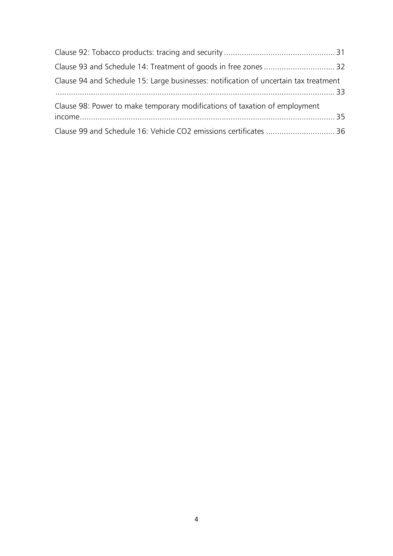<span id="page-3-0"></span>

| Clause 94 and Schedule 15: Large businesses: notification of uncertain tax treatment |  |
|--------------------------------------------------------------------------------------|--|
| Clause 98: Power to make temporary modifications of taxation of employment           |  |
| Clause 99 and Schedule 16: Vehicle CO2 emissions certificates  36                    |  |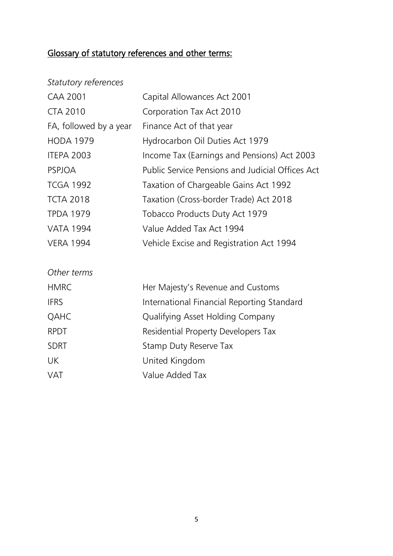# Glossary of statutory references and other terms:

| Statutory references |
|----------------------|
|----------------------|

| <b>CAA 2001</b>        | Capital Allowances Act 2001                             |
|------------------------|---------------------------------------------------------|
| <b>CTA 2010</b>        | Corporation Tax Act 2010                                |
| FA, followed by a year | Finance Act of that year                                |
| <b>HODA 1979</b>       | Hydrocarbon Oil Duties Act 1979                         |
| <b>ITEPA 2003</b>      | Income Tax (Earnings and Pensions) Act 2003             |
| <b>PSPJOA</b>          | <b>Public Service Pensions and Judicial Offices Act</b> |
| <b>TCGA 1992</b>       | Taxation of Chargeable Gains Act 1992                   |
| <b>TCTA 2018</b>       | Taxation (Cross-border Trade) Act 2018                  |
| <b>TPDA 1979</b>       | Tobacco Products Duty Act 1979                          |
| <b>VATA 1994</b>       | Value Added Tax Act 1994                                |
| <b>VERA 1994</b>       | Vehicle Excise and Registration Act 1994                |
|                        |                                                         |
| Other terms            |                                                         |
| <b>HMRC</b>            | Her Majesty's Revenue and Customs                       |
| <b>IFRS</b>            | International Financial Reporting Standard              |
| QAHC                   | Qualifying Asset Holding Company                        |
| <b>RPDT</b>            | Residential Property Developers Tax                     |
| <b>SDRT</b>            | Stamp Duty Reserve Tax                                  |
| UK                     | United Kingdom                                          |
| <b>VAT</b>             | Value Added Tax                                         |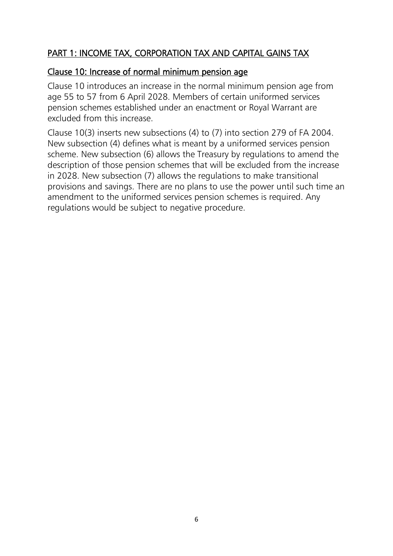## <span id="page-5-0"></span>PART 1: INCOME TAX, CORPORATION TAX AND CAPITAL GAINS TAX

#### <span id="page-5-1"></span>Clause 10: Increase of normal minimum pension age

Clause 10 introduces an increase in the normal minimum pension age from age 55 to 57 from 6 April 2028. Members of certain uniformed services pension schemes established under an enactment or Royal Warrant are excluded from this increase.

Clause 10(3) inserts new subsections (4) to (7) into section 279 of FA 2004. New subsection (4) defines what is meant by a uniformed services pension scheme. New subsection (6) allows the Treasury by regulations to amend the description of those pension schemes that will be excluded from the increase in 2028. New subsection (7) allows the regulations to make transitional provisions and savings. There are no plans to use the power until such time an amendment to the uniformed services pension schemes is required. Any regulations would be subject to negative procedure.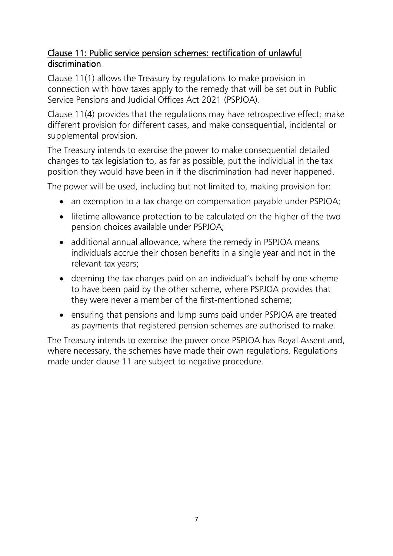## <span id="page-6-0"></span>Clause 11: Public service pension schemes: rectification of unlawful discrimination

Clause 11(1) allows the Treasury by regulations to make provision in connection with how taxes apply to the remedy that will be set out in [Public](https://www.lawinsider.com/clause/public-service-pensions)  [Service Pensions](https://www.lawinsider.com/clause/public-service-pensions) and [Judicial](https://www.lawinsider.com/clause/judicial) [Offices](https://www.lawinsider.com/clause/offices) [Act](https://www.lawinsider.com/clause/act) 2021 (PSPJOA).

Clause 11(4) provides that the regulations may have retrospective effect; make different provision for different cases, and make consequential, incidental or supplemental provision.

The Treasury intends to exercise the power to make consequential detailed changes to tax legislation to, as far as possible, put the individual in the tax position they would have been in if the discrimination had never happened.

The power will be used, including but not limited to, making provision for:

- an exemption to a tax charge on compensation payable under PSPJOA;
- lifetime allowance protection to be calculated on the higher of the two pension choices available under PSPJOA;
- additional annual allowance, where the remedy in PSPJOA means individuals accrue their chosen benefits in a single year and not in the relevant tax years;
- deeming the tax charges paid on an individual's behalf by one scheme to have been paid by the other scheme, where PSPJOA provides that they were never a member of the first-mentioned scheme;
- ensuring that pensions and lump sums paid under PSPJOA are treated as payments that registered pension schemes are authorised to make.

The Treasury intends to exercise the power once PSPJOA has Royal Assent and, where necessary, the schemes have made their own regulations. Regulations made under clause 11 are subject to negative procedure.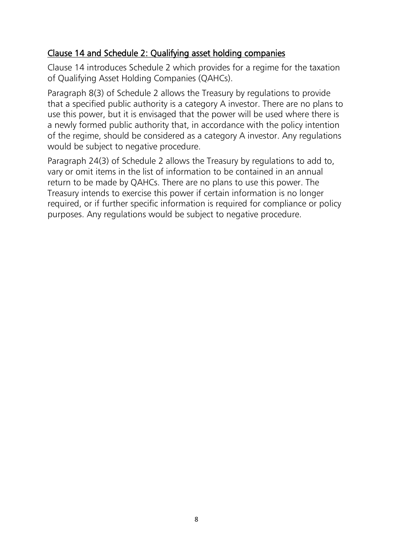## <span id="page-7-0"></span>Clause 14 and Schedule 2: Qualifying asset holding companies

Clause 14 introduces Schedule 2 which provides for a regime for the taxation of Qualifying Asset Holding Companies (QAHCs).

Paragraph 8(3) of Schedule 2 allows the Treasury by regulations to provide that a specified public authority is a category A investor. There are no plans to use this power, but it is envisaged that the power will be used where there is a newly formed public authority that, in accordance with the policy intention of the regime, should be considered as a category A investor. Any regulations would be subject to negative procedure.

Paragraph 24(3) of Schedule 2 allows the Treasury by regulations to add to, vary or omit items in the list of information to be contained in an annual return to be made by QAHCs. There are no plans to use this power. The Treasury intends to exercise this power if certain information is no longer required, or if further specific information is required for compliance or policy purposes. Any regulations would be subject to negative procedure.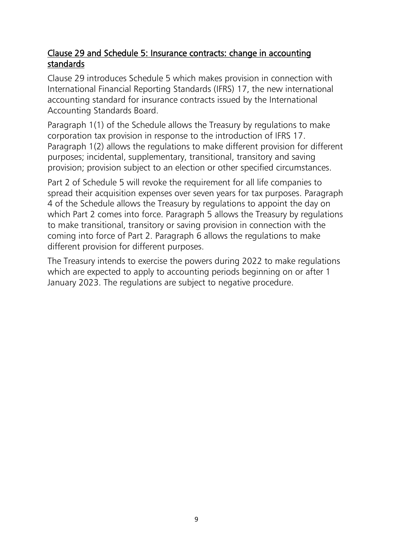## <span id="page-8-0"></span>Clause 29 and Schedule 5: Insurance contracts: change in accounting standards

Clause 29 introduces Schedule 5 which makes provision in connection with International Financial Reporting Standards (IFRS) 17, the new international accounting standard for insurance contracts issued by the International Accounting Standards Board.

Paragraph 1(1) of the Schedule allows the Treasury by regulations to make corporation tax provision in response to the introduction of IFRS 17. Paragraph 1(2) allows the regulations to make different provision for different purposes; incidental, supplementary, transitional, transitory and saving provision; provision subject to an election or other specified circumstances.

Part 2 of Schedule 5 will revoke the requirement for all life companies to spread their acquisition expenses over seven years for tax purposes. Paragraph 4 of the Schedule allows the Treasury by regulations to appoint the day on which Part 2 comes into force. Paragraph 5 allows the Treasury by regulations to make transitional, transitory or saving provision in connection with the coming into force of Part 2. Paragraph 6 allows the regulations to make different provision for different purposes.

The Treasury intends to exercise the powers during 2022 to make regulations which are expected to apply to accounting periods beginning on or after 1 January 2023. The regulations are subject to negative procedure.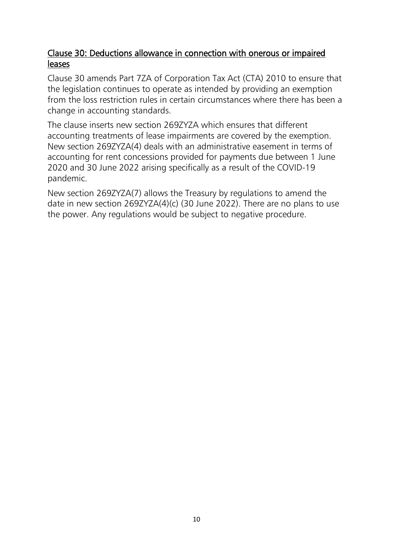## <span id="page-9-0"></span>Clause 30: Deductions allowance in connection with onerous or impaired leases

Clause 30 amends Part 7ZA of Corporation Tax Act (CTA) 2010 to ensure that the legislation continues to operate as intended by providing an exemption from the loss restriction rules in certain circumstances where there has been a change in accounting standards.

The clause inserts new section 269ZYZA which ensures that different accounting treatments of lease impairments are covered by the exemption. New section 269ZYZA(4) deals with an administrative easement in terms of accounting for rent concessions provided for payments due between 1 June 2020 and 30 June 2022 arising specifically as a result of the COVID-19 pandemic.

New section 269ZYZA(7) allows the Treasury by regulations to amend the date in new section 269ZYZA(4)(c) (30 June 2022). There are no plans to use the power. Any regulations would be subject to negative procedure.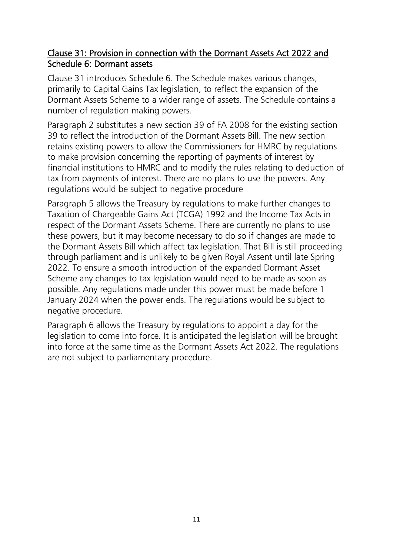### <span id="page-10-0"></span>Clause 31: Provision in connection with the Dormant Assets Act 2022 and Schedule 6: Dormant assets

Clause 31 introduces Schedule 6. The Schedule makes various changes, primarily to Capital Gains Tax legislation, to reflect the expansion of the Dormant Assets Scheme to a wider range of assets. The Schedule contains a number of regulation making powers.

Paragraph 2 substitutes a new section 39 of FA 2008 for the existing section 39 to reflect the introduction of the Dormant Assets Bill. The new section retains existing powers to allow the Commissioners for HMRC by regulations to make provision concerning the reporting of payments of interest by financial institutions to HMRC and to modify the rules relating to deduction of tax from payments of interest. There are no plans to use the powers. Any regulations would be subject to negative procedure

Paragraph 5 allows the Treasury by regulations to make further changes to Taxation of Chargeable Gains Act (TCGA) 1992 and the Income Tax Acts in respect of the Dormant Assets Scheme. There are currently no plans to use these powers, but it may become necessary to do so if changes are made to the Dormant Assets Bill which affect tax legislation. That Bill is still proceeding through parliament and is unlikely to be given Royal Assent until late Spring 2022. To ensure a smooth introduction of the expanded Dormant Asset Scheme any changes to tax legislation would need to be made as soon as possible. Any regulations made under this power must be made before 1 January 2024 when the power ends. The regulations would be subject to negative procedure.

Paragraph 6 allows the Treasury by regulations to appoint a day for the legislation to come into force. It is anticipated the legislation will be brought into force at the same time as the Dormant Assets Act 2022. The regulations are not subject to parliamentary procedure.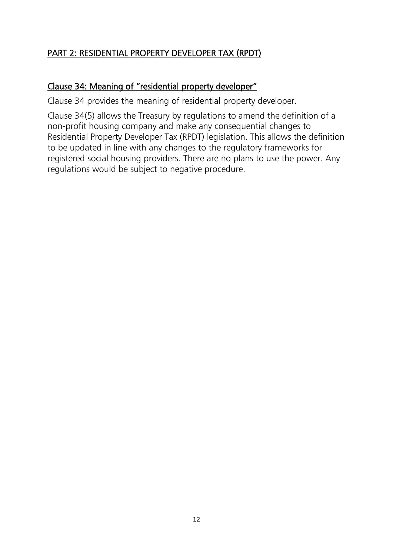# <span id="page-11-0"></span>PART 2: RESIDENTIAL PROPERTY DEVELOPER TAX (RPDT)

#### <span id="page-11-1"></span>Clause 34: Meaning of "residential property developer"

Clause 34 provides the meaning of residential property developer.

Clause 34(5) allows the Treasury by regulations to amend the definition of a non-profit housing company and make any consequential changes to Residential Property Developer Tax (RPDT) legislation. This allows the definition to be updated in line with any changes to the regulatory frameworks for registered social housing providers. There are no plans to use the power. Any regulations would be subject to negative procedure.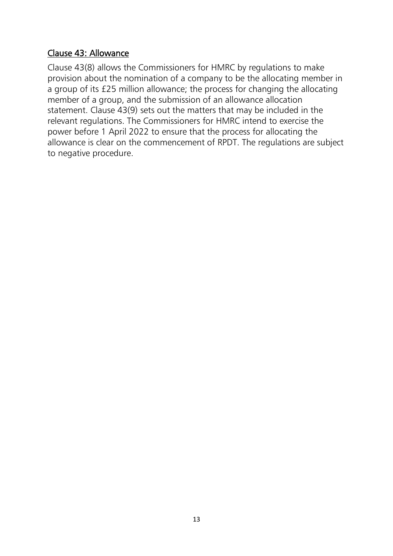## <span id="page-12-0"></span>Clause 43: Allowance

Clause 43(8) allows the Commissioners for HMRC by regulations to make provision about the nomination of a company to be the allocating member in a group of its £25 million allowance; the process for changing the allocating member of a group, and the submission of an allowance allocation statement. Clause 43(9) sets out the matters that may be included in the relevant regulations. The Commissioners for HMRC intend to exercise the power before 1 April 2022 to ensure that the process for allocating the allowance is clear on the commencement of RPDT. The regulations are subject to negative procedure.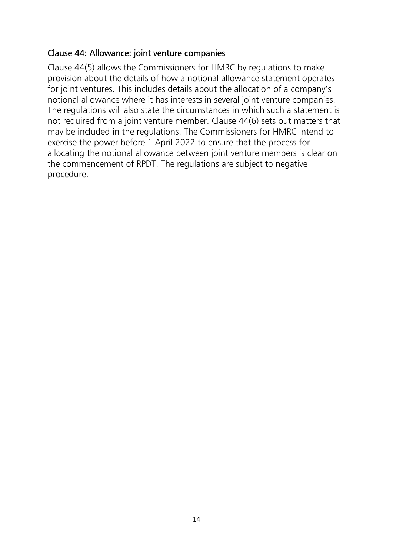## <span id="page-13-0"></span>Clause 44: Allowance: joint venture companies

Clause 44(5) allows the Commissioners for HMRC by regulations to make provision about the details of how a notional allowance statement operates for joint ventures. This includes details about the allocation of a company's notional allowance where it has interests in several joint venture companies. The regulations will also state the circumstances in which such a statement is not required from a joint venture member. Clause 44(6) sets out matters that may be included in the regulations. The Commissioners for HMRC intend to exercise the power before 1 April 2022 to ensure that the process for allocating the notional allowance between joint venture members is clear on the commencement of RPDT. The regulations are subject to negative procedure.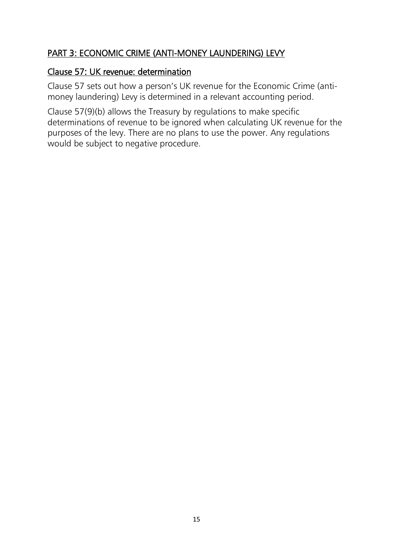# <span id="page-14-0"></span>PART 3: ECONOMIC CRIME (ANTI-MONEY LAUNDERING) LEVY

#### <span id="page-14-1"></span>Clause 57: UK revenue: determination

Clause 57 sets out how a person's UK revenue for the Economic Crime (antimoney laundering) Levy is determined in a relevant accounting period.

Clause 57(9)(b) allows the Treasury by regulations to make specific determinations of revenue to be ignored when calculating UK revenue for the purposes of the levy. There are no plans to use the power. Any regulations would be subject to negative procedure.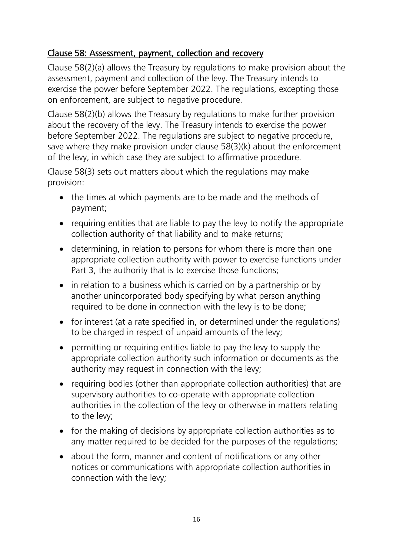## <span id="page-15-0"></span>Clause 58: Assessment, payment, collection and recovery

Clause 58(2)(a) allows the Treasury by regulations to make provision about the assessment, payment and collection of the levy. The Treasury intends to exercise the power before September 2022. The regulations, excepting those on enforcement, are subject to negative procedure.

Clause 58(2)(b) allows the Treasury by regulations to make further provision about the recovery of the levy. The Treasury intends to exercise the power before September 2022. The regulations are subject to negative procedure, save where they make provision under clause 58(3)(k) about the enforcement of the levy, in which case they are subject to affirmative procedure.

Clause 58(3) sets out matters about which the regulations may make provision:

- the times at which payments are to be made and the methods of payment;
- requiring entities that are liable to pay the levy to notify the appropriate collection authority of that liability and to make returns;
- determining, in relation to persons for whom there is more than one appropriate collection authority with power to exercise functions under Part 3, the authority that is to exercise those functions;
- in relation to a business which is carried on by a partnership or by another unincorporated body specifying by what person anything required to be done in connection with the levy is to be done;
- for interest (at a rate specified in, or determined under the regulations) to be charged in respect of unpaid amounts of the levy;
- permitting or requiring entities liable to pay the levy to supply the appropriate collection authority such information or documents as the authority may request in connection with the levy;
- requiring bodies (other than appropriate collection authorities) that are supervisory authorities to co-operate with appropriate collection authorities in the collection of the levy or otherwise in matters relating to the levy;
- for the making of decisions by appropriate collection authorities as to any matter required to be decided for the purposes of the regulations;
- about the form, manner and content of notifications or any other notices or communications with appropriate collection authorities in connection with the levy;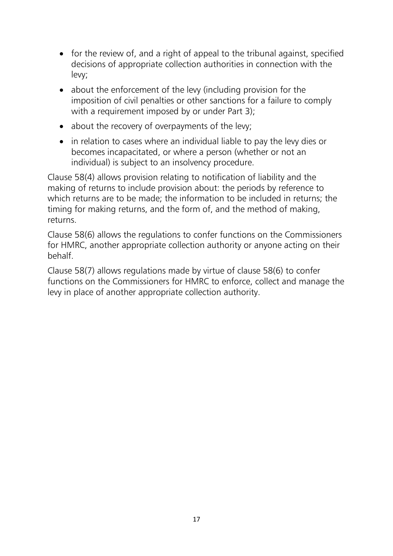- for the review of, and a right of appeal to the tribunal against, specified decisions of appropriate collection authorities in connection with the levy;
- about the enforcement of the levy (including provision for the imposition of civil penalties or other sanctions for a failure to comply with a requirement imposed by or under Part 3);
- about the recovery of overpayments of the levy;
- in relation to cases where an individual liable to pay the levy dies or becomes incapacitated, or where a person (whether or not an individual) is subject to an insolvency procedure.

Clause 58(4) allows provision relating to notification of liability and the making of returns to include provision about: the periods by reference to which returns are to be made; the information to be included in returns; the timing for making returns, and the form of, and the method of making, returns.

Clause 58(6) allows the regulations to confer functions on the Commissioners for HMRC, another appropriate collection authority or anyone acting on their behalf.

Clause 58(7) allows regulations made by virtue of clause 58(6) to confer functions on the Commissioners for HMRC to enforce, collect and manage the levy in place of another appropriate collection authority.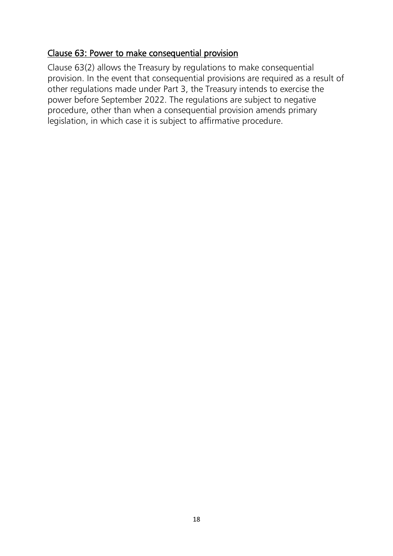## <span id="page-17-0"></span>Clause 63: Power to make consequential provision

Clause 63(2) allows the Treasury by regulations to make consequential provision. In the event that consequential provisions are required as a result of other regulations made under Part 3, the Treasury intends to exercise the power before September 2022. The regulations are subject to negative procedure, other than when a consequential provision amends primary legislation, in which case it is subject to affirmative procedure.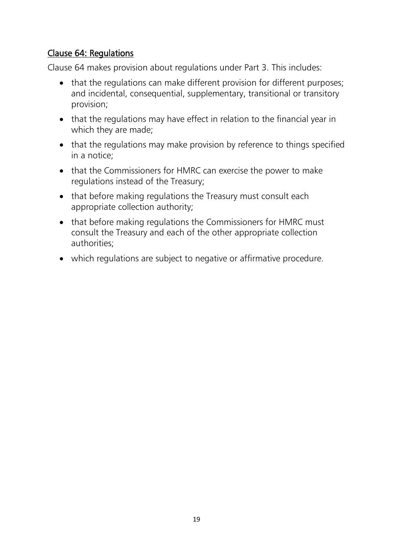## <span id="page-18-0"></span>Clause 64: Regulations

Clause 64 makes provision about regulations under Part 3. This includes:

- that the regulations can make different provision for different purposes; and incidental, consequential, supplementary, transitional or transitory provision;
- that the regulations may have effect in relation to the financial year in which they are made;
- that the regulations may make provision by reference to things specified in a notice;
- that the Commissioners for HMRC can exercise the power to make regulations instead of the Treasury;
- that before making regulations the Treasury must consult each appropriate collection authority;
- that before making regulations the Commissioners for HMRC must consult the Treasury and each of the other appropriate collection authorities;
- which regulations are subject to negative or affirmative procedure.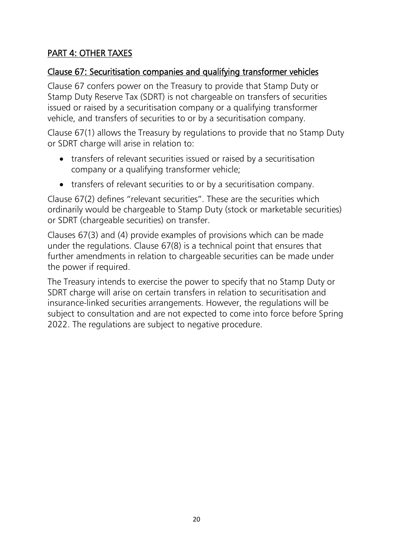# <span id="page-19-0"></span>PART 4: OTHER TAXES

## <span id="page-19-1"></span>Clause 67: Securitisation companies and qualifying transformer vehicles

Clause 67 confers power on the Treasury to provide that Stamp Duty or Stamp Duty Reserve Tax (SDRT) is not chargeable on transfers of securities issued or raised by a securitisation company or a qualifying transformer vehicle, and transfers of securities to or by a securitisation company.

Clause 67(1) allows the Treasury by regulations to provide that no Stamp Duty or SDRT charge will arise in relation to:

- transfers of relevant securities issued or raised by a securitisation company or a qualifying transformer vehicle;
- transfers of relevant securities to or by a securitisation company.

Clause 67(2) defines "relevant securities". These are the securities which ordinarily would be chargeable to Stamp Duty (stock or marketable securities) or SDRT (chargeable securities) on transfer.

Clauses 67(3) and (4) provide examples of provisions which can be made under the regulations. Clause 67(8) is a technical point that ensures that further amendments in relation to chargeable securities can be made under the power if required.

The Treasury intends to exercise the power to specify that no Stamp Duty or SDRT charge will arise on certain transfers in relation to securitisation and insurance-linked securities arrangements. However, the regulations will be subject to consultation and are not expected to come into force before Spring 2022. The regulations are subject to negative procedure.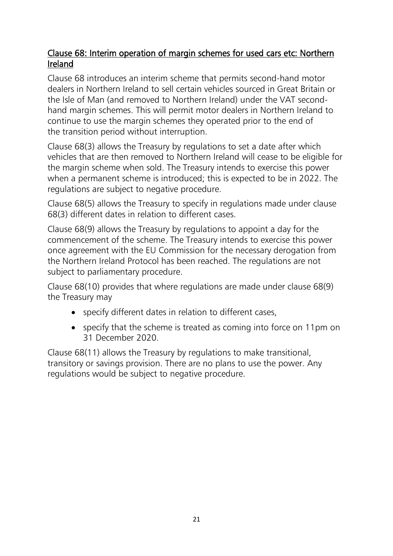## <span id="page-20-0"></span>Clause 68: Interim operation of margin schemes for used cars etc: Northern Ireland

Clause 68 introduces an interim scheme that permits second-hand motor dealers in Northern Ireland to sell certain vehicles sourced in Great Britain or the Isle of Man (and removed to Northern Ireland) under the VAT secondhand margin schemes. This will permit motor dealers in Northern Ireland to continue to use the margin schemes they operated prior to the end of the transition period without interruption.

Clause 68(3) allows the Treasury by regulations to set a date after which vehicles that are then removed to Northern Ireland will cease to be eligible for the margin scheme when sold. The Treasury intends to exercise this power when a permanent scheme is introduced; this is expected to be in 2022. The regulations are subject to negative procedure.

Clause 68(5) allows the Treasury to specify in regulations made under clause 68(3) different dates in relation to different cases.

Clause 68(9) allows the Treasury by regulations to appoint a day for the commencement of the scheme. The Treasury intends to exercise this power once agreement with the EU Commission for the necessary derogation from the Northern Ireland Protocol has been reached. The regulations are not subject to parliamentary procedure.

Clause 68(10) provides that where regulations are made under clause 68(9) the Treasury may

- specify different dates in relation to different cases,
- specify that the scheme is treated as coming into force on 11pm on 31 December 2020.

Clause 68(11) allows the Treasury by regulations to make transitional, transitory or savings provision. There are no plans to use the power. Any regulations would be subject to negative procedure.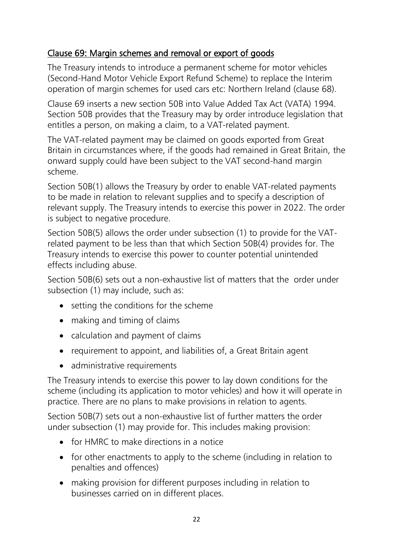# <span id="page-21-0"></span>Clause 69: Margin schemes and removal or export of goods

The Treasury intends to introduce a permanent scheme for motor vehicles (Second-Hand Motor Vehicle Export Refund Scheme) to replace the Interim operation of margin schemes for used cars etc: Northern Ireland (clause 68).

Clause 69 inserts a new section 50B into Value Added Tax Act (VATA) 1994. Section 50B provides that the Treasury may by order introduce legislation that entitles a person, on making a claim, to a VAT-related payment.

The VAT-related payment may be claimed on goods exported from Great Britain in circumstances where, if the goods had remained in Great Britain, the onward supply could have been subject to the VAT second-hand margin scheme.

Section 50B(1) allows the Treasury by order to enable VAT-related payments to be made in relation to relevant supplies and to specify a description of relevant supply. The Treasury intends to exercise this power in 2022. The order is subject to negative procedure.

Section 50B(5) allows the order under subsection (1) to provide for the VATrelated payment to be less than that which Section 50B(4) provides for. The Treasury intends to exercise this power to counter potential unintended effects including abuse.

Section 50B(6) sets out a non-exhaustive list of matters that the order under subsection (1) may include, such as:

- setting the conditions for the scheme
- making and timing of claims
- calculation and payment of claims
- requirement to appoint, and liabilities of, a Great Britain agent
- administrative requirements

The Treasury intends to exercise this power to lay down conditions for the scheme (including its application to motor vehicles) and how it will operate in practice. There are no plans to make provisions in relation to agents.

Section 50B(7) sets out a non-exhaustive list of further matters the order under subsection (1) may provide for. This includes making provision:

- for HMRC to make directions in a notice
- for other enactments to apply to the scheme (including in relation to penalties and offences)
- making provision for different purposes including in relation to businesses carried on in different places.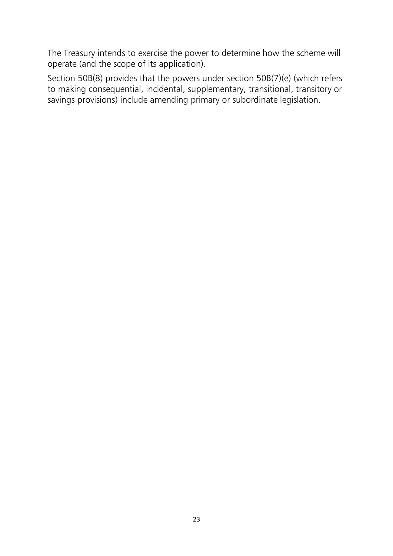The Treasury intends to exercise the power to determine how the scheme will operate (and the scope of its application).

Section 50B(8) provides that the powers under section 50B(7)(e) (which refers to making consequential, incidental, supplementary, transitional, transitory or savings provisions) include amending primary or subordinate legislation.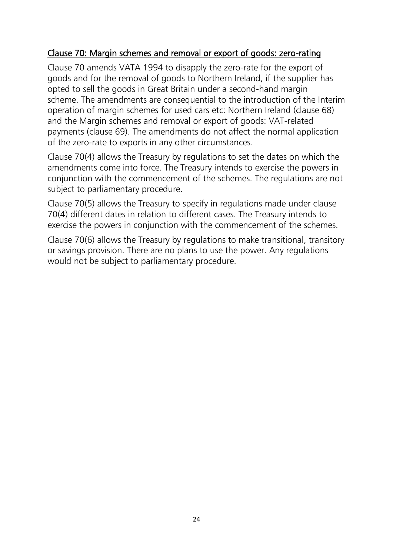## <span id="page-23-0"></span>Clause 70: Margin schemes and removal or export of goods: zero-rating

Clause 70 amends VATA 1994 to disapply the zero-rate for the export of goods and for the removal of goods to Northern Ireland, if the supplier has opted to sell the goods in Great Britain under a second-hand margin scheme. The amendments are consequential to the introduction of the Interim operation of margin schemes for used cars etc: Northern Ireland (clause 68) and the Margin schemes and removal or export of goods: VAT-related payments (clause 69). The amendments do not affect the normal application of the zero-rate to exports in any other circumstances.

Clause 70(4) allows the Treasury by regulations to set the dates on which the amendments come into force. The Treasury intends to exercise the powers in conjunction with the commencement of the schemes. The regulations are not subject to parliamentary procedure.

Clause 70(5) allows the Treasury to specify in regulations made under clause 70(4) different dates in relation to different cases. The Treasury intends to exercise the powers in conjunction with the commencement of the schemes.

Clause 70(6) allows the Treasury by regulations to make transitional, transitory or savings provision. There are no plans to use the power. Any regulations would not be subject to parliamentary procedure.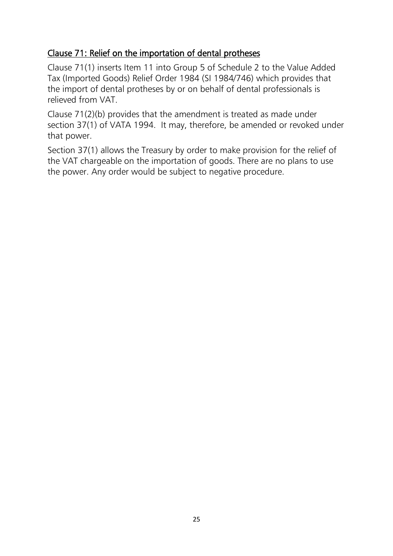## <span id="page-24-0"></span>Clause 71: Relief on the importation of dental protheses

Clause 71(1) inserts Item 11 into Group 5 of Schedule 2 to the Value Added Tax (Imported Goods) Relief Order 1984 (SI 1984/746) which provides that the import of dental protheses by or on behalf of dental professionals is relieved from VAT.

Clause 71(2)(b) provides that the amendment is treated as made under section 37(1) of VATA 1994. It may, therefore, be amended or revoked under that power.

Section 37(1) allows the Treasury by order to make provision for the relief of the VAT chargeable on the importation of goods. There are no plans to use the power. Any order would be subject to negative procedure.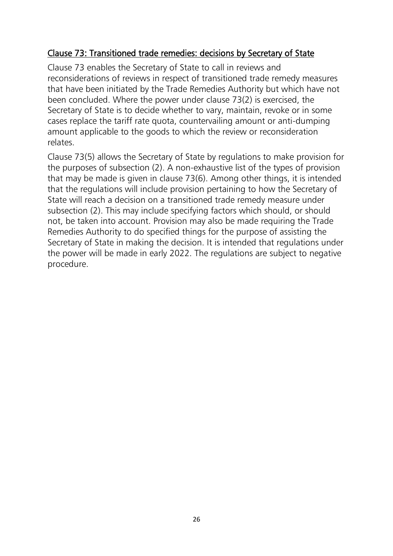## <span id="page-25-0"></span>Clause 73: Transitioned trade remedies: decisions by Secretary of State

Clause 73 enables the Secretary of State to call in reviews and reconsiderations of reviews in respect of transitioned trade remedy measures that have been initiated by the Trade Remedies Authority but which have not been concluded. Where the power under clause 73(2) is exercised, the Secretary of State is to decide whether to vary, maintain, revoke or in some cases replace the tariff rate quota, countervailing amount or anti-dumping amount applicable to the goods to which the review or reconsideration relates.

Clause 73(5) allows the Secretary of State by regulations to make provision for the purposes of subsection (2). A non-exhaustive list of the types of provision that may be made is given in clause 73(6). Among other things, it is intended that the regulations will include provision pertaining to how the Secretary of State will reach a decision on a transitioned trade remedy measure under subsection (2). This may include specifying factors which should, or should not, be taken into account. Provision may also be made requiring the Trade Remedies Authority to do specified things for the purpose of assisting the Secretary of State in making the decision. It is intended that regulations under the power will be made in early 2022. The regulations are subject to negative procedure.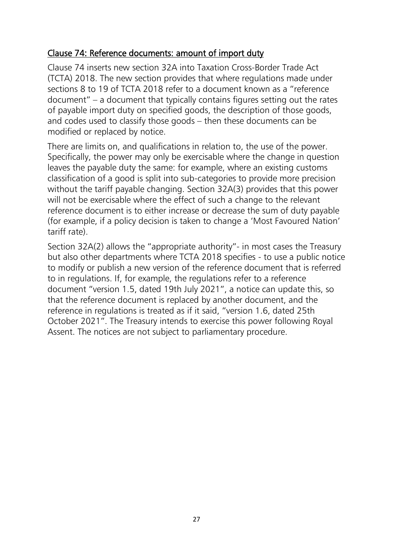## <span id="page-26-0"></span>Clause 74: Reference documents: amount of import duty

Clause 74 inserts new section 32A into Taxation Cross-Border Trade Act (TCTA) 2018. The new section provides that where regulations made under sections 8 to 19 of TCTA 2018 refer to a document known as a "reference document" – a document that typically contains figures setting out the rates of payable import duty on specified goods, the description of those goods, and codes used to classify those goods – then these documents can be modified or replaced by notice.

There are limits on, and qualifications in relation to, the use of the power. Specifically, the power may only be exercisable where the change in question leaves the payable duty the same: for example, where an existing customs classification of a good is split into sub-categories to provide more precision without the tariff payable changing. Section 32A(3) provides that this power will not be exercisable where the effect of such a change to the relevant reference document is to either increase or decrease the sum of duty payable (for example, if a policy decision is taken to change a 'Most Favoured Nation' tariff rate).

Section 32A(2) allows the "appropriate authority"- in most cases the Treasury but also other departments where TCTA 2018 specifies - to use a public notice to modify or publish a new version of the reference document that is referred to in regulations. If, for example, the regulations refer to a reference document "version 1.5, dated 19th July 2021", a notice can update this, so that the reference document is replaced by another document, and the reference in regulations is treated as if it said, "version 1.6, dated 25th October 2021". The Treasury intends to exercise this power following Royal Assent. The notices are not subject to parliamentary procedure.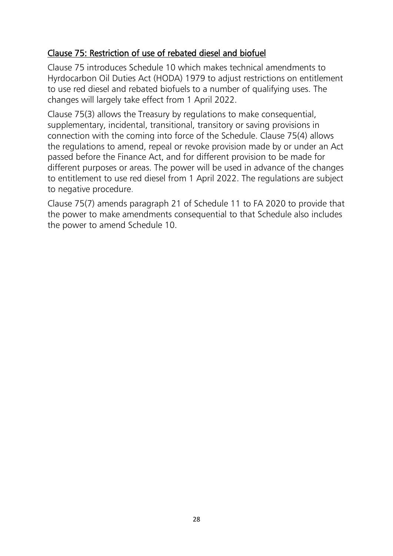## <span id="page-27-0"></span>Clause 75: Restriction of use of rebated diesel and biofuel

Clause 75 introduces Schedule 10 which makes technical amendments to Hyrdocarbon Oil Duties Act (HODA) 1979 to adjust restrictions on entitlement to use red diesel and rebated biofuels to a number of qualifying uses. The changes will largely take effect from 1 April 2022.

Clause 75(3) allows the Treasury by regulations to make consequential, supplementary, incidental, transitional, transitory or saving provisions in connection with the coming into force of the Schedule. Clause 75(4) allows the regulations to amend, repeal or revoke provision made by or under an Act passed before the Finance Act, and for different provision to be made for different purposes or areas. The power will be used in advance of the changes to entitlement to use red diesel from 1 April 2022. The regulations are subject to negative procedure.

Clause 75(7) amends paragraph 21 of Schedule 11 to FA 2020 to provide that the power to make amendments consequential to that Schedule also includes the power to amend Schedule 10.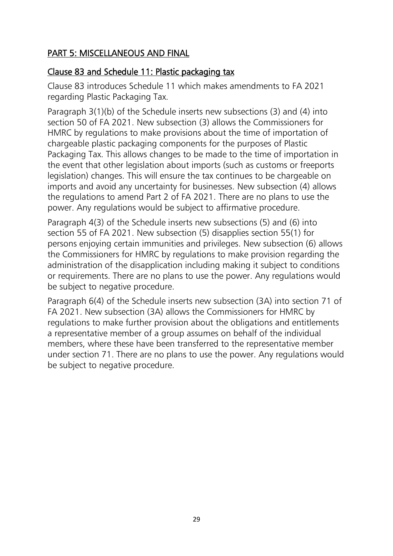## <span id="page-28-0"></span>PART 5: MISCELLANEOUS AND FINAL

## <span id="page-28-1"></span>Clause 83 and Schedule 11: Plastic packaging tax

Clause 83 introduces Schedule 11 which makes amendments to FA 2021 regarding Plastic Packaging Tax.

Paragraph 3(1)(b) of the Schedule inserts new subsections (3) and (4) into section 50 of FA 2021. New subsection (3) allows the Commissioners for HMRC by regulations to make provisions about the time of importation of chargeable plastic packaging components for the purposes of Plastic Packaging Tax. This allows changes to be made to the time of importation in the event that other legislation about imports (such as customs or freeports legislation) changes. This will ensure the tax continues to be chargeable on imports and avoid any uncertainty for businesses. New subsection (4) allows the regulations to amend Part 2 of FA 2021. There are no plans to use the power. Any regulations would be subject to affirmative procedure.

Paragraph 4(3) of the Schedule inserts new subsections (5) and (6) into section 55 of FA 2021. New subsection (5) disapplies section 55(1) for persons enjoying certain immunities and privileges. New subsection (6) allows the Commissioners for HMRC by regulations to make provision regarding the administration of the disapplication including making it subject to conditions or requirements. There are no plans to use the power. Any regulations would be subject to negative procedure.

Paragraph 6(4) of the Schedule inserts new subsection (3A) into section 71 of FA 2021. New subsection (3A) allows the Commissioners for HMRC by regulations to make further provision about the obligations and entitlements a representative member of a group assumes on behalf of the individual members, where these have been transferred to the representative member under section 71. There are no plans to use the power. Any regulations would be subject to negative procedure.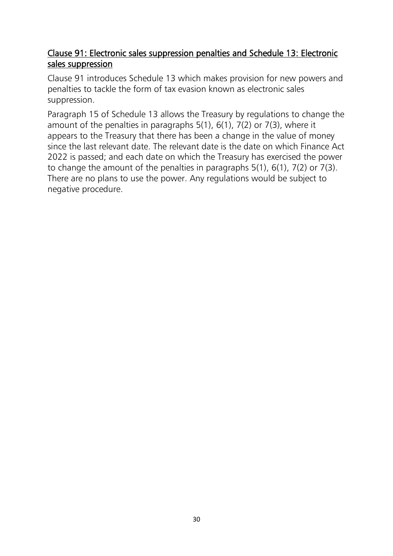## <span id="page-29-0"></span>Clause 91: Electronic sales suppression penalties and Schedule 13: Electronic sales suppression

Clause 91 introduces Schedule 13 which makes provision for new powers and penalties to tackle the form of tax evasion known as electronic sales suppression.

Paragraph 15 of Schedule 13 allows the Treasury by regulations to change the amount of the penalties in paragraphs 5(1), 6(1), 7(2) or 7(3), where it appears to the Treasury that there has been a change in the value of money since the last relevant date. The relevant date is the date on which Finance Act 2022 is passed; and each date on which the Treasury has exercised the power to change the amount of the penalties in paragraphs 5(1), 6(1), 7(2) or 7(3). There are no plans to use the power. Any regulations would be subject to negative procedure.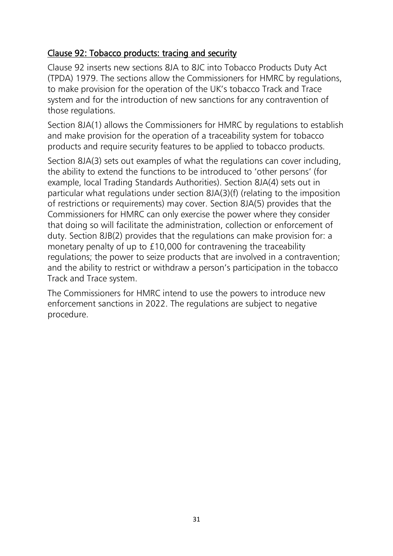## <span id="page-30-0"></span>Clause 92: Tobacco products: tracing and security

Clause 92 inserts new sections 8JA to 8JC into Tobacco Products Duty Act (TPDA) 1979. The sections allow the Commissioners for HMRC by regulations, to make provision for the operation of the UK's tobacco Track and Trace system and for the introduction of new sanctions for any contravention of those regulations.

Section 8JA(1) allows the Commissioners for HMRC by regulations to establish and make provision for the operation of a traceability system for tobacco products and require security features to be applied to tobacco products.

Section 8JA(3) sets out examples of what the regulations can cover including, the ability to extend the functions to be introduced to 'other persons' (for example, local Trading Standards Authorities). Section 8JA(4) sets out in particular what regulations under section 8JA(3)(f) (relating to the imposition of restrictions or requirements) may cover. Section 8JA(5) provides that the Commissioners for HMRC can only exercise the power where they consider that doing so will facilitate the administration, collection or enforcement of duty. Section 8JB(2) provides that the regulations can make provision for: a monetary penalty of up to £10,000 for contravening the traceability regulations; the power to seize products that are involved in a contravention; and the ability to restrict or withdraw a person's participation in the tobacco Track and Trace system.

The Commissioners for HMRC intend to use the powers to introduce new enforcement sanctions in 2022. The regulations are subject to negative procedure.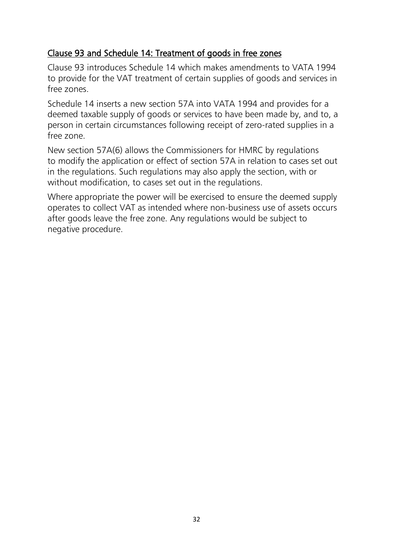## <span id="page-31-0"></span>Clause 93 and Schedule 14: Treatment of goods in free zones

Clause 93 introduces Schedule 14 which makes amendments to VATA 1994 to provide for the VAT treatment of certain supplies of goods and services in free zones.

Schedule 14 inserts a new section 57A into VATA 1994 and provides for a deemed taxable supply of goods or services to have been made by, and to, a person in certain circumstances following receipt of zero-rated supplies in a free zone.

New section 57A(6) allows the Commissioners for HMRC by regulations to modify the application or effect of section 57A in relation to cases set out in the regulations. Such regulations may also apply the section, with or without modification, to cases set out in the regulations.

Where appropriate the power will be exercised to ensure the deemed supply operates to collect VAT as intended where non-business use of assets occurs after goods leave the free zone. Any regulations would be subject to negative procedure.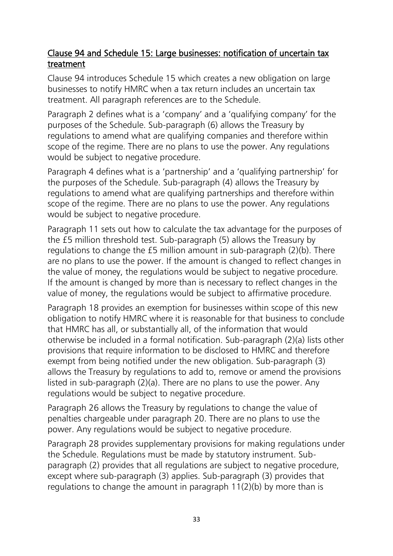## <span id="page-32-0"></span>Clause 94 and Schedule 15: Large businesses: notification of uncertain tax treatment

Clause 94 introduces Schedule 15 which creates a new obligation on large businesses to notify HMRC when a tax return includes an uncertain tax treatment. All paragraph references are to the Schedule.

Paragraph 2 defines what is a 'company' and a 'qualifying company' for the purposes of the Schedule. Sub-paragraph (6) allows the Treasury by regulations to amend what are qualifying companies and therefore within scope of the regime. There are no plans to use the power. Any regulations would be subject to negative procedure.

Paragraph 4 defines what is a 'partnership' and a 'qualifying partnership' for the purposes of the Schedule. Sub-paragraph (4) allows the Treasury by regulations to amend what are qualifying partnerships and therefore within scope of the regime. There are no plans to use the power. Any regulations would be subject to negative procedure.

Paragraph 11 sets out how to calculate the tax advantage for the purposes of the £5 million threshold test. Sub-paragraph (5) allows the Treasury by regulations to change the £5 million amount in sub-paragraph (2)(b). There are no plans to use the power. If the amount is changed to reflect changes in the value of money, the regulations would be subject to negative procedure. If the amount is changed by more than is necessary to reflect changes in the value of money, the regulations would be subject to affirmative procedure.

Paragraph 18 provides an exemption for businesses within scope of this new obligation to notify HMRC where it is reasonable for that business to conclude that HMRC has all, or substantially all, of the information that would otherwise be included in a formal notification. Sub-paragraph (2)(a) lists other provisions that require information to be disclosed to HMRC and therefore exempt from being notified under the new obligation. Sub-paragraph (3) allows the Treasury by regulations to add to, remove or amend the provisions listed in sub-paragraph (2)(a). There are no plans to use the power. Any regulations would be subject to negative procedure.

Paragraph 26 allows the Treasury by regulations to change the value of penalties chargeable under paragraph 20. There are no plans to use the power. Any regulations would be subject to negative procedure.

Paragraph 28 provides supplementary provisions for making regulations under the Schedule. Regulations must be made by statutory instrument. Subparagraph (2) provides that all regulations are subject to negative procedure, except where sub-paragraph (3) applies. Sub-paragraph (3) provides that regulations to change the amount in paragraph 11(2)(b) by more than is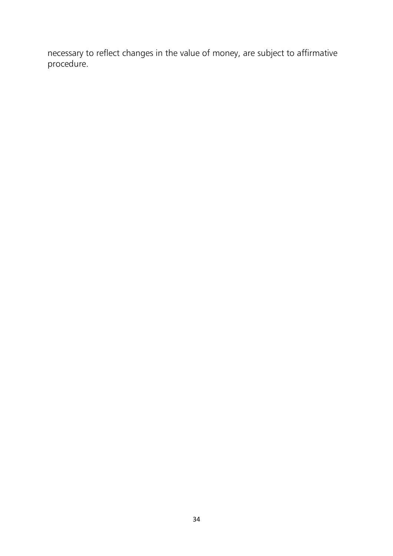necessary to reflect changes in the value of money, are subject to affirmative procedure.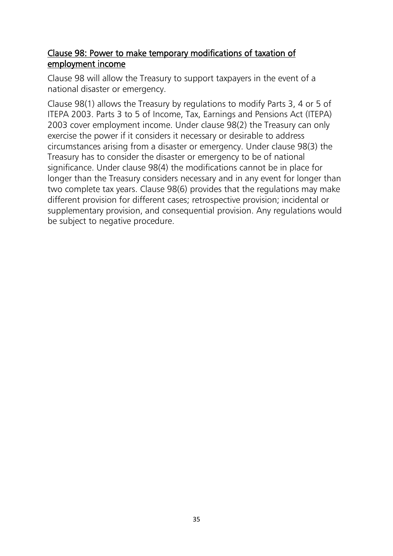## <span id="page-34-0"></span>Clause 98: Power to make temporary modifications of taxation of employment income

Clause 98 will allow the Treasury to support taxpayers in the event of a national disaster or emergency.

Clause 98(1) allows the Treasury by regulations to modify Parts 3, 4 or 5 of ITEPA 2003. Parts 3 to 5 of Income, Tax, Earnings and Pensions Act (ITEPA) 2003 cover employment income. Under clause 98(2) the Treasury can only exercise the power if it considers it necessary or desirable to address circumstances arising from a disaster or emergency. Under clause 98(3) the Treasury has to consider the disaster or emergency to be of national significance. Under clause 98(4) the modifications cannot be in place for longer than the Treasury considers necessary and in any event for longer than two complete tax years. Clause 98(6) provides that the regulations may make different provision for different cases; retrospective provision; incidental or supplementary provision, and consequential provision. Any regulations would be subject to negative procedure.